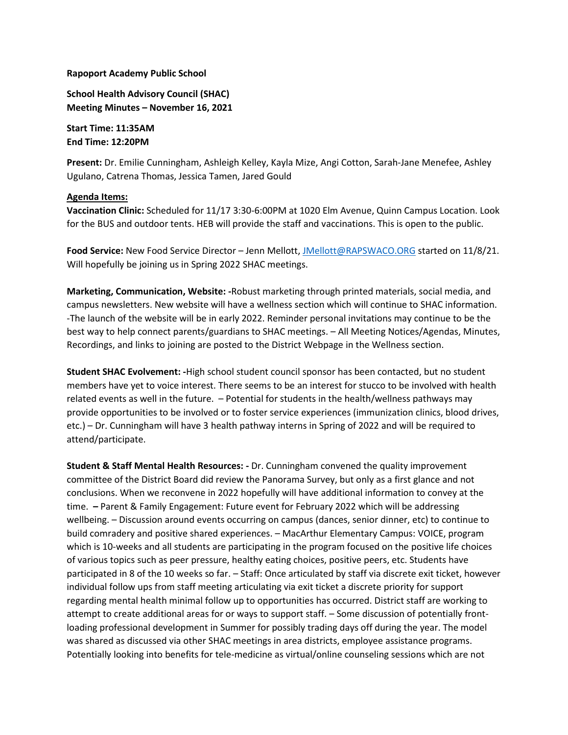#### **Rapoport Academy Public School**

**School Health Advisory Council (SHAC) Meeting Minutes – November 16, 2021** 

**Start Time: 11:35AM End Time: 12:20PM**

**Present:** Dr. Emilie Cunningham, Ashleigh Kelley, Kayla Mize, Angi Cotton, Sarah-Jane Menefee, Ashley Ugulano, Catrena Thomas, Jessica Tamen, Jared Gould

### **Agenda Items:**

**Vaccination Clinic:** Scheduled for 11/17 3:30-6:00PM at 1020 Elm Avenue, Quinn Campus Location. Look for the BUS and outdoor tents. HEB will provide the staff and vaccinations. This is open to the public.

**Food Service:** New Food Service Director – Jenn Mellott, [JMellott@RAPSWACO.ORG](mailto:JMellott@RAPSWACO.ORG) started on 11/8/21. Will hopefully be joining us in Spring 2022 SHAC meetings.

**Marketing, Communication, Website: -**Robust marketing through printed materials, social media, and campus newsletters. New website will have a wellness section which will continue to SHAC information. -The launch of the website will be in early 2022. Reminder personal invitations may continue to be the best way to help connect parents/guardians to SHAC meetings. – All Meeting Notices/Agendas, Minutes, Recordings, and links to joining are posted to the District Webpage in the Wellness section.

**Student SHAC Evolvement: -**High school student council sponsor has been contacted, but no student members have yet to voice interest. There seems to be an interest for stucco to be involved with health related events as well in the future. – Potential for students in the health/wellness pathways may provide opportunities to be involved or to foster service experiences (immunization clinics, blood drives, etc.) – Dr. Cunningham will have 3 health pathway interns in Spring of 2022 and will be required to attend/participate.

**Student & Staff Mental Health Resources: -** Dr. Cunningham convened the quality improvement committee of the District Board did review the Panorama Survey, but only as a first glance and not conclusions. When we reconvene in 2022 hopefully will have additional information to convey at the time. **–** Parent & Family Engagement: Future event for February 2022 which will be addressing wellbeing. – Discussion around events occurring on campus (dances, senior dinner, etc) to continue to build comradery and positive shared experiences. – MacArthur Elementary Campus: VOICE, program which is 10-weeks and all students are participating in the program focused on the positive life choices of various topics such as peer pressure, healthy eating choices, positive peers, etc. Students have participated in 8 of the 10 weeks so far. – Staff: Once articulated by staff via discrete exit ticket, however individual follow ups from staff meeting articulating via exit ticket a discrete priority for support regarding mental health minimal follow up to opportunities has occurred. District staff are working to attempt to create additional areas for or ways to support staff. – Some discussion of potentially frontloading professional development in Summer for possibly trading days off during the year. The model was shared as discussed via other SHAC meetings in area districts, employee assistance programs. Potentially looking into benefits for tele-medicine as virtual/online counseling sessions which are not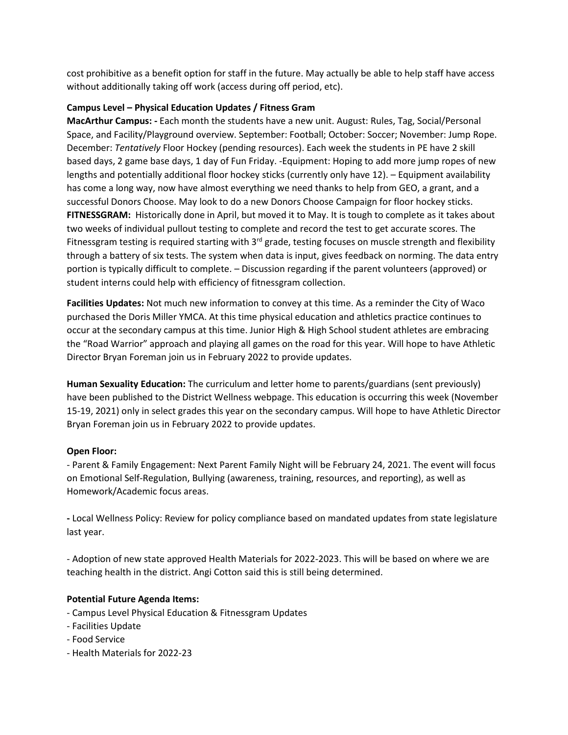cost prohibitive as a benefit option for staff in the future. May actually be able to help staff have access without additionally taking off work (access during off period, etc).

# **Campus Level – Physical Education Updates / Fitness Gram**

**MacArthur Campus: -** Each month the students have a new unit. August: Rules, Tag, Social/Personal Space, and Facility/Playground overview. September: Football; October: Soccer; November: Jump Rope. December: *Tentatively* Floor Hockey (pending resources). Each week the students in PE have 2 skill based days, 2 game base days, 1 day of Fun Friday. -Equipment: Hoping to add more jump ropes of new lengths and potentially additional floor hockey sticks (currently only have 12). – Equipment availability has come a long way, now have almost everything we need thanks to help from GEO, a grant, and a successful Donors Choose. May look to do a new Donors Choose Campaign for floor hockey sticks. **FITNESSGRAM:** Historically done in April, but moved it to May. It is tough to complete as it takes about two weeks of individual pullout testing to complete and record the test to get accurate scores. The Fitnessgram testing is required starting with  $3<sup>rd</sup>$  grade, testing focuses on muscle strength and flexibility through a battery of six tests. The system when data is input, gives feedback on norming. The data entry portion is typically difficult to complete. – Discussion regarding if the parent volunteers (approved) or student interns could help with efficiency of fitnessgram collection.

**Facilities Updates:** Not much new information to convey at this time. As a reminder the City of Waco purchased the Doris Miller YMCA. At this time physical education and athletics practice continues to occur at the secondary campus at this time. Junior High & High School student athletes are embracing the "Road Warrior" approach and playing all games on the road for this year. Will hope to have Athletic Director Bryan Foreman join us in February 2022 to provide updates.

**Human Sexuality Education:** The curriculum and letter home to parents/guardians (sent previously) have been published to the District Wellness webpage. This education is occurring this week (November 15-19, 2021) only in select grades this year on the secondary campus. Will hope to have Athletic Director Bryan Foreman join us in February 2022 to provide updates.

### **Open Floor:**

- Parent & Family Engagement: Next Parent Family Night will be February 24, 2021. The event will focus on Emotional Self-Regulation, Bullying (awareness, training, resources, and reporting), as well as Homework/Academic focus areas.

**-** Local Wellness Policy: Review for policy compliance based on mandated updates from state legislature last year.

- Adoption of new state approved Health Materials for 2022-2023. This will be based on where we are teaching health in the district. Angi Cotton said this is still being determined.

# **Potential Future Agenda Items:**

- Campus Level Physical Education & Fitnessgram Updates
- Facilities Update
- Food Service
- Health Materials for 2022-23